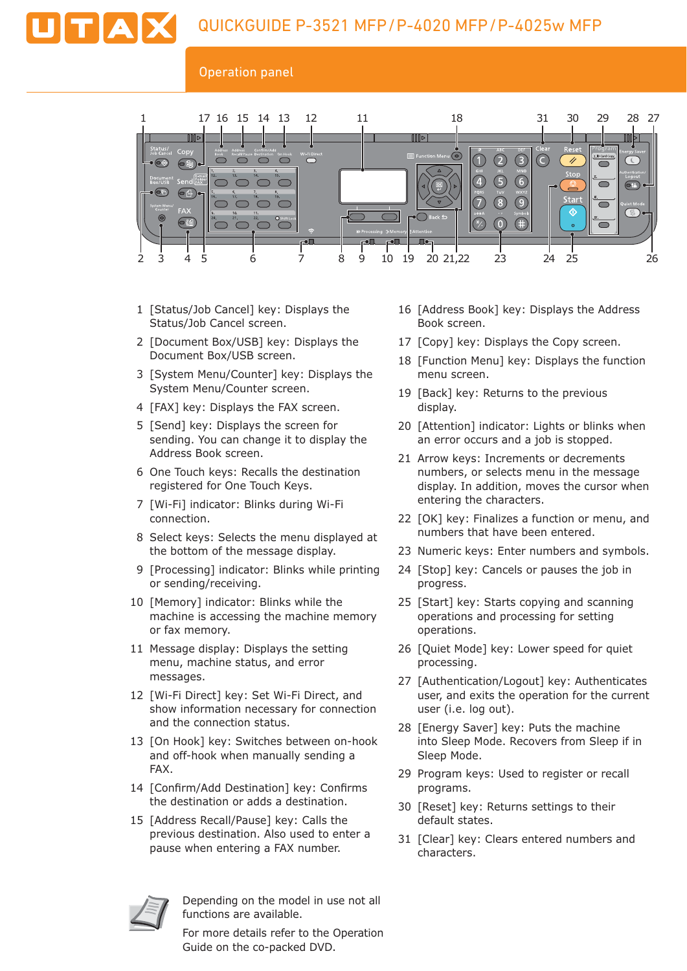## Operation panel



- 1 [Status/Job Cancel] key: Displays the Status/Job Cancel screen.
- 2 [Document Box/USB] key: Displays the Document Box/USB screen.
- 3 [System Menu/Counter] key: Displays the System Menu/Counter screen.
- 4 [FAX] key: Displays the FAX screen.
- 5 [Send] key: Displays the screen for sending. You can change it to display the Address Book screen.
- 6 One Touch keys: Recalls the destination registered for One Touch Keys.
- 7 [Wi-Fi] indicator: Blinks during Wi-Fi connection.
- 8 Select keys: Selects the menu displayed at the bottom of the message display.
- 9 [Processing] indicator: Blinks while printing or sending/receiving.
- 10 [Memory] indicator: Blinks while the machine is accessing the machine memory or fax memory.
- 11 Message display: Displays the setting menu, machine status, and error messages.
- 12 [Wi-Fi Direct] key: Set Wi-Fi Direct, and show information necessary for connection and the connection status.
- 13 [On Hook] key: Switches between on-hook and off-hook when manually sending a FAX.
- 14 [Confirm/Add Destination] key: Confirms the destination or adds a destination.
- 15 [Address Recall/Pause] key: Calls the previous destination. Also used to enter a pause when entering a FAX number.



Depending on the model in use not all functions are available.

For more details refer to the Operation Guide on the co-packed DVD.

- 16 [Address Book] key: Displays the Address Book screen.
- 17 [Copy] key: Displays the Copy screen.
- 18 [Function Menu] key: Displays the function menu screen.
- 19 [Back] key: Returns to the previous display.
- 20 [Attention] indicator: Lights or blinks when an error occurs and a job is stopped.
- 21 Arrow keys: Increments or decrements numbers, or selects menu in the message display. In addition, moves the cursor when entering the characters.
- 22 [OK] key: Finalizes a function or menu, and numbers that have been entered.
- 23 Numeric keys: Enter numbers and symbols.
- 24 [Stop] key: Cancels or pauses the job in progress.
- 25 [Start] key: Starts copying and scanning operations and processing for setting operations.
- 26 [Quiet Mode] key: Lower speed for quiet processing.
- 27 [Authentication/Logout] key: Authenticates user, and exits the operation for the current user (i.e. log out).
- 28 [Energy Saver] key: Puts the machine into Sleep Mode. Recovers from Sleep if in Sleep Mode.
- 29 Program keys: Used to register or recall programs.
- 30 [Reset] key: Returns settings to their default states.
- 31 [Clear] key: Clears entered numbers and characters.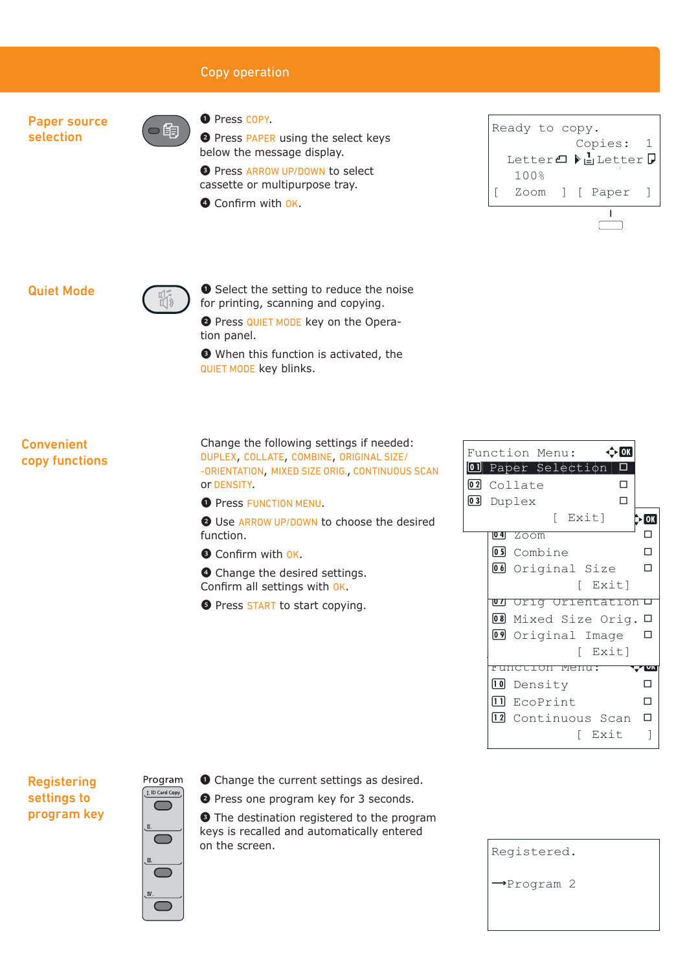# Copy operation

Paper source selection

❶ Press COPY.

**O** Press PAPER using the select keys below the message display.

**D** Press ARROW UP/DOWN to select cassette or multipurpose tray.

**O** Confirm with OK.



## Quiet Mode



的

❶ Select the setting to reduce the noise for printing, scanning and copying.

❷ Press QUIET MODE key on the Operation panel.

❸ When this function is activated, the QUIET MODE key blinks.

**Convenient** copy functions Change the following settings if needed: DUPLEX, COLLATE, COMBINE, ORIGINAL SIZE/ -ORIENTATION, MIXED SIZE ORIG., CONTINUOUS SCAN or DENSITY.

**O** Press FUNCTION MENU.

❷ Use ARROW UP/DOWN to choose the desired function.

Confirm with OK.

❹ Change the desired settings. Confirm all settings with OK.

**O** Press START to start copying.

|       |                 | Function Menu:        |  |
|-------|-----------------|-----------------------|--|
| 10 II |                 | Paper Selection       |  |
|       |                 | 02 Collate            |  |
|       |                 | 03 Duplex             |  |
|       |                 | [ Exit]               |  |
|       | [0 4]           | Zoom                  |  |
|       |                 | 05 Combine            |  |
|       |                 | 06 Original Size      |  |
|       |                 | [ Exit]               |  |
|       | $\overline{01}$ | Orig Orientation L    |  |
|       |                 | 08 Mixed Size Orig. □ |  |
|       |                 | 09 Original Image     |  |
|       |                 | [ Exit]               |  |
|       |                 | <u>tou meun:</u>      |  |
|       |                 | <b>10</b> Density     |  |
|       |                 | ∐ EcoPrint            |  |
|       |                 | 12 Continuous Scan    |  |
|       |                 | Exit                  |  |

## **Registering** settings to program key



- ❶ Change the current settings as desired.
- ❷ Press one program key for 3 seconds.

❸ The destination registered to the program keys is recalled and automatically entered on the screen.

| Registered.             |  |
|-------------------------|--|
| $\rightarrow$ Program 2 |  |
|                         |  |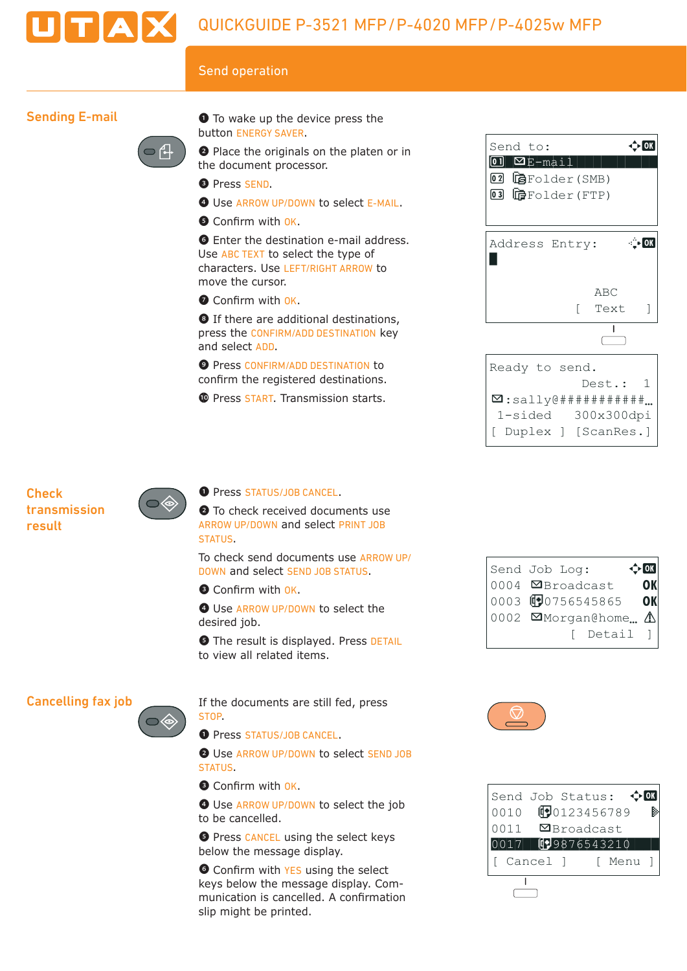

## Send operation

## Sending E-mail



❶ To wake up the device press the button ENERGY SAVER.

❷ Place the originals on the platen or in the document processor.

- ❸ Press SEND.
- **O** Use ARROW UP/DOWN to select E-MAIL.
- **O** Confirm with OK.

**O** Enter the destination e-mail address. Use ABC TEXT to select the type of characters. Use LEFT/RIGHT ARROW to move the cursor.

Confirm with OK.

**O** If there are additional destinations, press the CONFIRM/ADD DESTINATION key and select ADD.

**O** Press CONFIRM/ADD DESTINATION to confirm the registered destinations.

**1** Press START. Transmission starts.



## **Check** transmission result



#### **O** Press STATUS/JOB CANCEL.

**O** To check received documents use ARROW UP/DOWN and select PRINT JOB STATUS.

To check send documents use ARROW UP/ DOWN and select SEND JOB STATUS.

Confirm with OK.

 $\bullet$  Use ARROW UP/DOWN to select the desired job.

**O** The result is displayed. Press DETAIL to view all related items.

### Cancelling fax job

If the documents are still fed, press STOP.

O Press STATUS/JOB CANCEL.

❷ Use ARROW UP/DOWN to select SEND JOB **STATUS** 

- Confirm with OK.
- $\bullet$  Use ARROW UP/DOWN to select the job to be cancelled.

**O** Press CANCEL using the select keys below the message display.

**O** Confirm with YES using the select keys below the message display. Com munication is cancelled. A confirmation slip might be printed.

| $\div$ or<br>Send Job Log: |    |
|----------------------------|----|
| 0004 ØBroadcast            |    |
| 0003 190756545865          | OK |
| 0002 Morgan@home $\Delta$  |    |
| [ Detail ]                 |    |